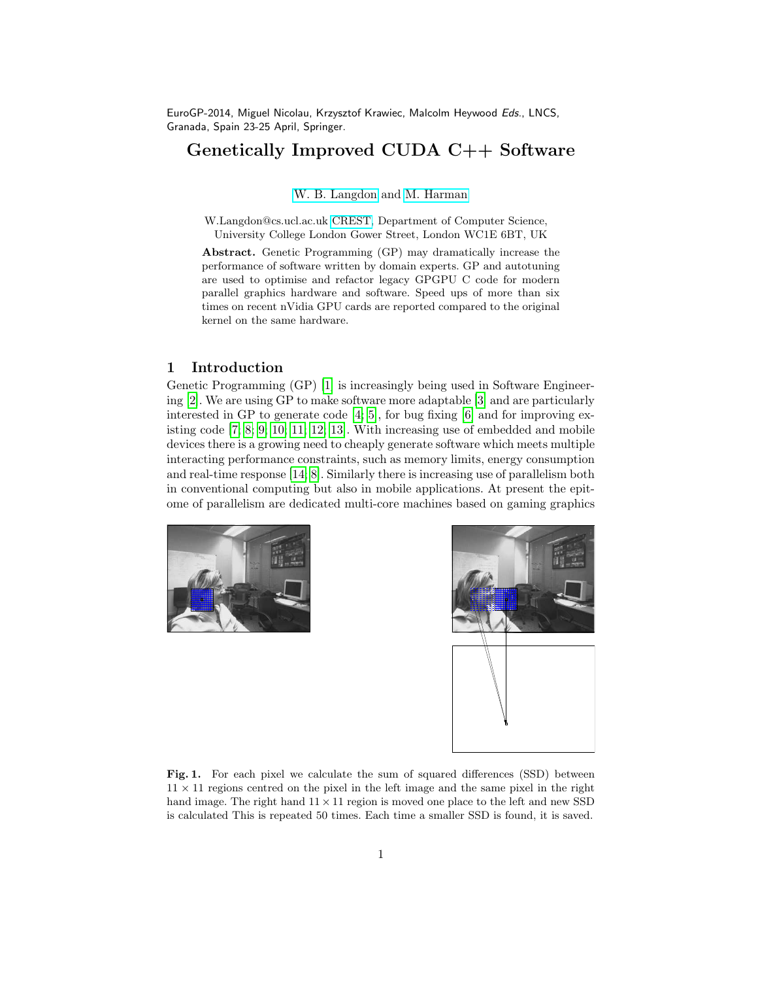EuroGP-2014, Miguel Nicolau, Krzysztof Krawiec, Malcolm Heywood Eds., LNCS, Granada, Spain 23-25 April, Springer.

## Genetically Improved CUDA C++ Software

[W. B. Langdon](http://www.cs.ucl.ac.uk/staff/W.Langdon/) and [M. Harman](http://www.cs.ucl.ac.uk/staff/M.Harman/)

W.Langdon@cs.ucl.ac.uk [CREST,](http://crest.cs.ucl.ac.uk/) Department of Computer Science, University College London Gower Street, London WC1E 6BT, UK

Abstract. Genetic Programming (GP) may dramatically increase the performance of software written by domain experts. GP and autotuning are used to optimise and refactor legacy GPGPU C code for modern parallel graphics hardware and software. Speed ups of more than six times on recent nVidia GPU cards are reported compared to the original kernel on the same hardware.

## 1 Introduction

Genetic Programming (GP) [\[1\]](#page-11-0) is increasingly being used in Software Engineering [\[2\]](#page-11-1). We are using GP to make software more adaptable [\[3\]](#page-11-2) and are particularly interested in GP to generate code [\[4;](#page-11-3) [5\]](#page-11-4), for bug fixing [\[6\]](#page-11-5) and for improving existing code [\[7;](#page-11-6) [8;](#page-11-7) [9;](#page-11-8) [10;](#page-11-9) [11;](#page-11-10) [12;](#page-11-11) [13\]](#page-11-12). With increasing use of embedded and mobile devices there is a growing need to cheaply generate software which meets multiple interacting performance constraints, such as memory limits, energy consumption and real-time response [\[14;](#page-11-13) [8\]](#page-11-7). Similarly there is increasing use of parallelism both in conventional computing but also in mobile applications. At present the epitome of parallelism are dedicated multi-core machines based on gaming graphics

<span id="page-0-0"></span>



Fig. 1. For each pixel we calculate the sum of squared differences (SSD) between  $11 \times 11$  regions centred on the pixel in the left image and the same pixel in the right hand image. The right hand  $11 \times 11$  region is moved one place to the left and new SSD is calculated This is repeated 50 times. Each time a smaller SSD is found, it is saved.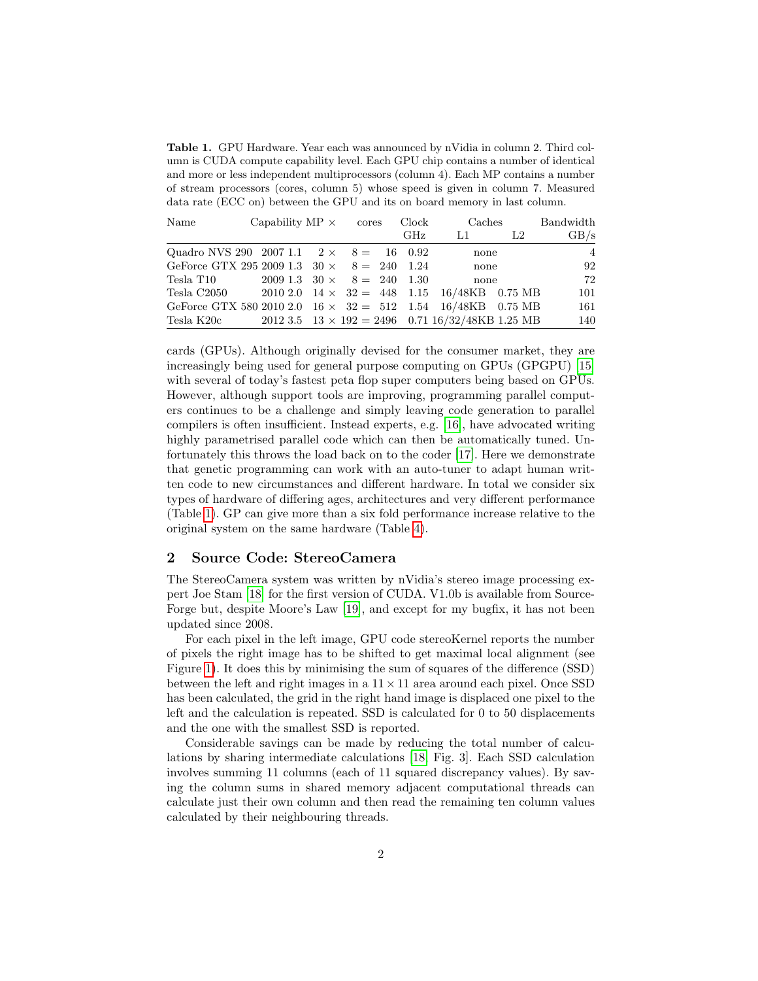<span id="page-1-0"></span>Table 1. GPU Hardware. Year each was announced by nVidia in column 2. Third column is CUDA compute capability level. Each GPU chip contains a number of identical and more or less independent multiprocessors (column 4). Each MP contains a number of stream processors (cores, column 5) whose speed is given in column 7. Measured data rate (ECC on) between the GPU and its on board memory in last column.

| Name                                                               | Capability $MP \times$ cores         |  | Clock | Caches                                                        |    | Bandwidth |
|--------------------------------------------------------------------|--------------------------------------|--|-------|---------------------------------------------------------------|----|-----------|
|                                                                    |                                      |  | GHz   | L1                                                            | L2 | GB/s      |
| Quadro NVS 290 2007 1.1 $2 \times 8 = 16$ 0.92                     |                                      |  |       | none                                                          |    | -4        |
| GeForce GTX 295 2009 1.3 $30 \times 8 = 240$ 1.24                  |                                      |  |       | none                                                          |    | 92        |
| Tesla T10                                                          | $2009\;1.3\;30\times\;8=\;240\;1.30$ |  |       | none                                                          |    | 72        |
| Tesla C2050 2010 2.0 $14 \times 32 = 448$ 1.15 $16/48KB$ 0.75 MB   |                                      |  |       |                                                               |    | 101       |
| GeForce GTX 580 2010 2.0 16 $\times$ 32 = 512 1.54 16/48KB 0.75 MB |                                      |  |       |                                                               |    | 161       |
| Tesla K20c                                                         |                                      |  |       | $2012\ 3.5\ 13 \times 192 = 2496\ 0.71\ 16/32/48KB\ 1.25\ MB$ |    | 140       |

cards (GPUs). Although originally devised for the consumer market, they are increasingly being used for general purpose computing on GPUs (GPGPU) [\[15\]](#page-11-14) with several of today's fastest peta flop super computers being based on GPUs. However, although support tools are improving, programming parallel computers continues to be a challenge and simply leaving code generation to parallel compilers is often insufficient. Instead experts, e.g. [\[16\]](#page-11-15), have advocated writing highly parametrised parallel code which can then be automatically tuned. Unfortunately this throws the load back on to the coder [\[17\]](#page-11-16). Here we demonstrate that genetic programming can work with an auto-tuner to adapt human written code to new circumstances and different hardware. In total we consider six types of hardware of differing ages, architectures and very different performance (Table [1\)](#page-1-0). GP can give more than a six fold performance increase relative to the original system on the same hardware (Table [4\)](#page-7-0).

## <span id="page-1-1"></span>2 Source Code: StereoCamera

The StereoCamera system was written by nVidia's stereo image processing expert Joe Stam [\[18\]](#page-11-17) for the first version of CUDA. V1.0b is available from Source-Forge but, despite Moore's Law [\[19\]](#page-11-18), and except for my bugfix, it has not been updated since 2008.

For each pixel in the left image, GPU code stereoKernel reports the number of pixels the right image has to be shifted to get maximal local alignment (see Figure [1\)](#page-0-0). It does this by minimising the sum of squares of the difference (SSD) between the left and right images in a  $11 \times 11$  area around each pixel. Once SSD has been calculated, the grid in the right hand image is displaced one pixel to the left and the calculation is repeated. SSD is calculated for 0 to 50 displacements and the one with the smallest SSD is reported.

Considerable savings can be made by reducing the total number of calculations by sharing intermediate calculations [\[18,](#page-11-17) Fig. 3]. Each SSD calculation involves summing 11 columns (each of 11 squared discrepancy values). By saving the column sums in shared memory adjacent computational threads can calculate just their own column and then read the remaining ten column values calculated by their neighbouring threads.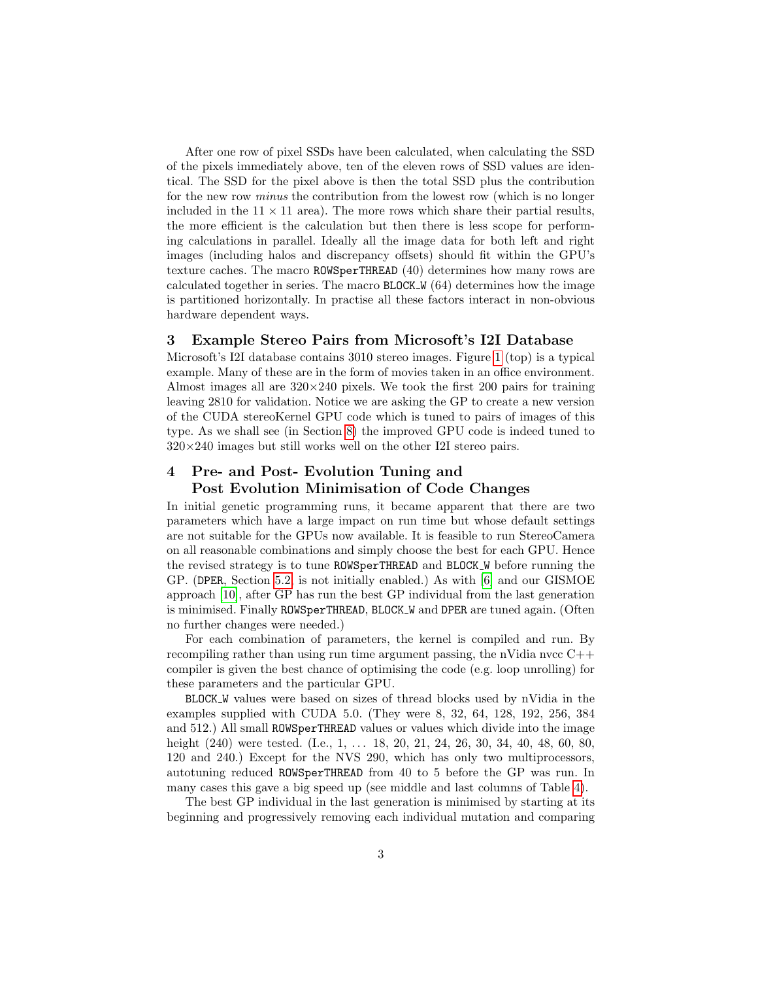After one row of pixel SSDs have been calculated, when calculating the SSD of the pixels immediately above, ten of the eleven rows of SSD values are identical. The SSD for the pixel above is then the total SSD plus the contribution for the new row minus the contribution from the lowest row (which is no longer included in the  $11 \times 11$  area). The more rows which share their partial results, the more efficient is the calculation but then there is less scope for performing calculations in parallel. Ideally all the image data for both left and right images (including halos and discrepancy offsets) should fit within the GPU's texture caches. The macro ROWSperTHREAD (40) determines how many rows are calculated together in series. The macro  $BLOCK_{\nu}$  (64) determines how the image is partitioned horizontally. In practise all these factors interact in non-obvious hardware dependent ways.

## 3 Example Stereo Pairs from Microsoft's I2I Database

Microsoft's I2I database contains 3010 stereo images. Figure [1](#page-0-0) (top) is a typical example. Many of these are in the form of movies taken in an office environment. Almost images all are  $320\times240$  pixels. We took the first 200 pairs for training leaving 2810 for validation. Notice we are asking the GP to create a new version of the CUDA stereoKernel GPU code which is tuned to pairs of images of this type. As we shall see (in Section [8\)](#page-7-1) the improved GPU code is indeed tuned to  $320\times240$  images but still works well on the other I2I stereo pairs.

# <span id="page-2-0"></span>4 Pre- and Post- Evolution Tuning and

## Post Evolution Minimisation of Code Changes

In initial genetic programming runs, it became apparent that there are two parameters which have a large impact on run time but whose default settings are not suitable for the GPUs now available. It is feasible to run StereoCamera on all reasonable combinations and simply choose the best for each GPU. Hence the revised strategy is to tune ROWSperTHREAD and BLOCK W before running the GP. (DPER, Section [5.2,](#page-3-0) is not initially enabled.) As with [\[6\]](#page-11-5) and our GISMOE approach [\[10\]](#page-11-9), after GP has run the best GP individual from the last generation is minimised. Finally ROWSperTHREAD, BLOCK W and DPER are tuned again. (Often no further changes were needed.)

For each combination of parameters, the kernel is compiled and run. By recompiling rather than using run time argument passing, the nVidia nvcc  $C++$ compiler is given the best chance of optimising the code (e.g. loop unrolling) for these parameters and the particular GPU.

BLOCK W values were based on sizes of thread blocks used by nVidia in the examples supplied with CUDA 5.0. (They were 8, 32, 64, 128, 192, 256, 384 and 512.) All small ROWSperTHREAD values or values which divide into the image height (240) were tested. (I.e., 1, ... 18, 20, 21, 24, 26, 30, 34, 40, 48, 60, 80, 120 and 240.) Except for the NVS 290, which has only two multiprocessors, autotuning reduced ROWSperTHREAD from 40 to 5 before the GP was run. In many cases this gave a big speed up (see middle and last columns of Table [4\)](#page-7-0).

The best GP individual in the last generation is minimised by starting at its beginning and progressively removing each individual mutation and comparing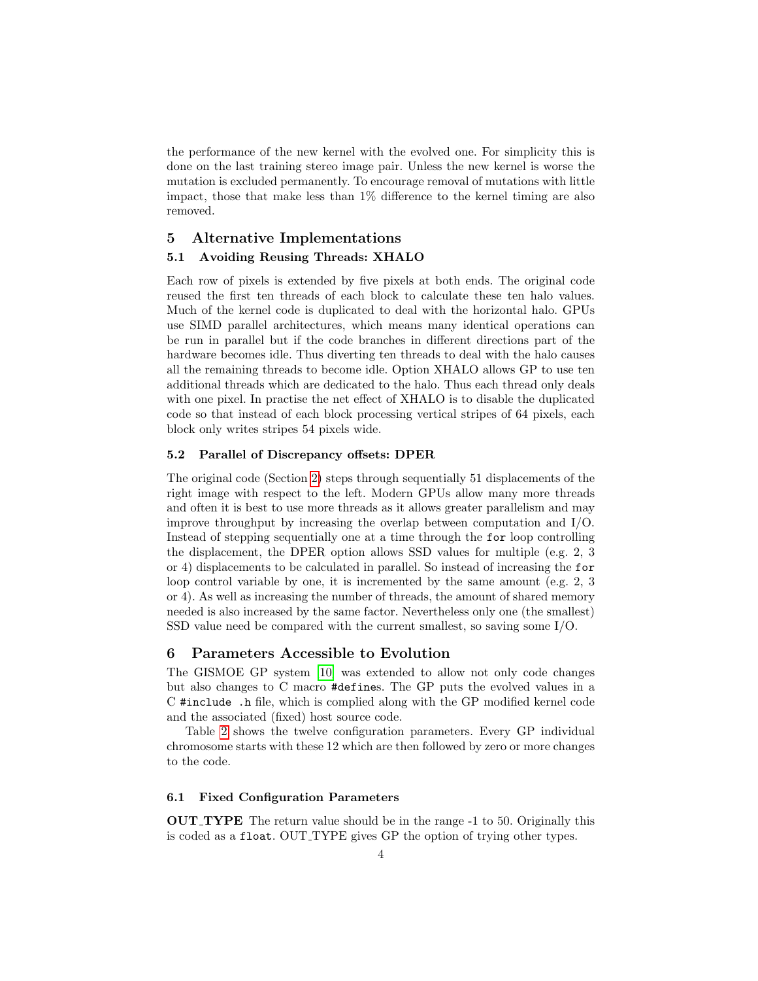the performance of the new kernel with the evolved one. For simplicity this is done on the last training stereo image pair. Unless the new kernel is worse the mutation is excluded permanently. To encourage removal of mutations with little impact, those that make less than 1% difference to the kernel timing are also removed.

## <span id="page-3-1"></span>5 Alternative Implementations 5.1 Avoiding Reusing Threads: XHALO

Each row of pixels is extended by five pixels at both ends. The original code reused the first ten threads of each block to calculate these ten halo values. Much of the kernel code is duplicated to deal with the horizontal halo. GPUs use SIMD parallel architectures, which means many identical operations can be run in parallel but if the code branches in different directions part of the hardware becomes idle. Thus diverting ten threads to deal with the halo causes all the remaining threads to become idle. Option XHALO allows GP to use ten additional threads which are dedicated to the halo. Thus each thread only deals with one pixel. In practise the net effect of XHALO is to disable the duplicated code so that instead of each block processing vertical stripes of 64 pixels, each block only writes stripes 54 pixels wide.

## <span id="page-3-0"></span>5.2 Parallel of Discrepancy offsets: DPER

The original code (Section [2\)](#page-1-1) steps through sequentially 51 displacements of the right image with respect to the left. Modern GPUs allow many more threads and often it is best to use more threads as it allows greater parallelism and may improve throughput by increasing the overlap between computation and  $I/O$ . Instead of stepping sequentially one at a time through the for loop controlling the displacement, the DPER option allows SSD values for multiple (e.g. 2, 3 or 4) displacements to be calculated in parallel. So instead of increasing the for loop control variable by one, it is incremented by the same amount (e.g. 2, 3 or 4). As well as increasing the number of threads, the amount of shared memory needed is also increased by the same factor. Nevertheless only one (the smallest) SSD value need be compared with the current smallest, so saving some I/O.

## 6 Parameters Accessible to Evolution

The GISMOE GP system [\[10\]](#page-11-9) was extended to allow not only code changes but also changes to C macro #defines. The GP puts the evolved values in a C #include .h file, which is complied along with the GP modified kernel code and the associated (fixed) host source code.

Table [2](#page-4-0) shows the twelve configuration parameters. Every GP individual chromosome starts with these 12 which are then followed by zero or more changes to the code.

#### 6.1 Fixed Configuration Parameters

OUT TYPE The return value should be in the range -1 to 50. Originally this is coded as a float. OUT TYPE gives GP the option of trying other types.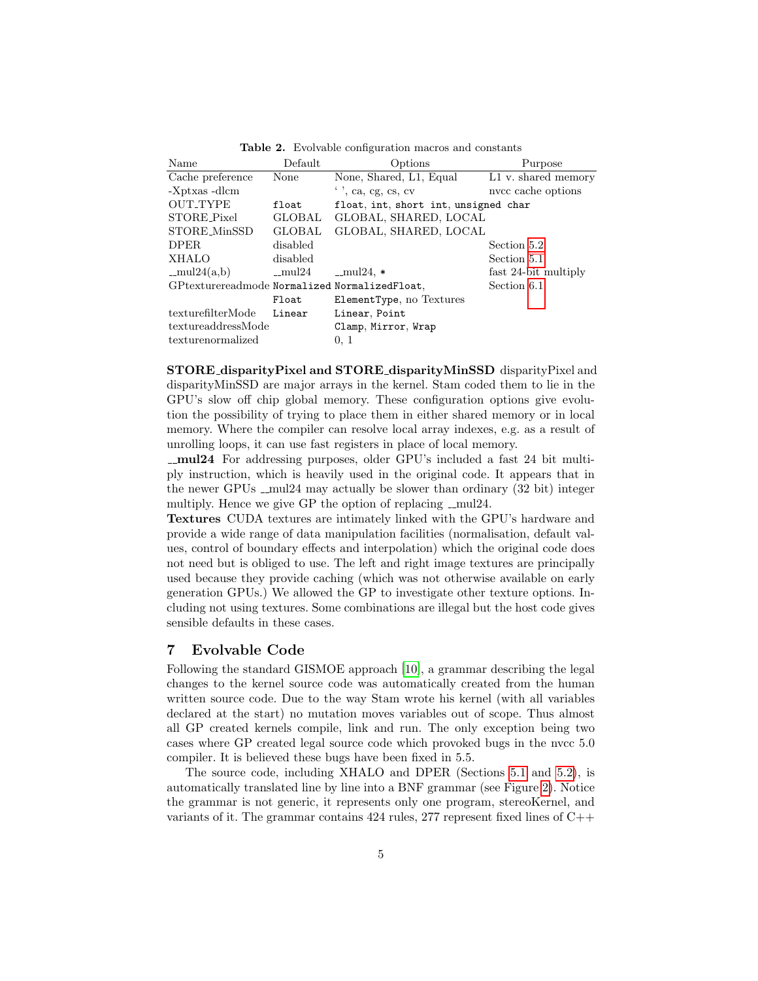| Name                                          | Default   | Options                              | Purpose              |
|-----------------------------------------------|-----------|--------------------------------------|----------------------|
| Cache preference                              | None      | None, Shared, L1, Equal              | L1 v. shared memory  |
| -Xptxas -dlcm                                 |           | $\cdot$ , ca, eg, cs, cv             | nvcc cache options   |
| <b>OUT_TYPE</b>                               | float     | float, int, short int, unsigned char |                      |
| STORE Pixel                                   | GLOBAL    | GLOBAL, SHARED, LOCAL                |                      |
| STORE_MinSSD                                  | GLOBAL    | GLOBAL, SHARED, LOCAL                |                      |
| <b>DPER</b>                                   | disabled  |                                      | Section 5.2          |
| <b>XHALO</b>                                  | disabled  |                                      | Section 5.1          |
| $-mul24(a,b)$                                 | $\_mul24$ | $-mul24$ , $*$                       | fast 24-bit multiply |
| GPtexturereadmode Normalized NormalizedFloat, |           |                                      | Section 6.1          |
|                                               | Float     | ElementType, no Textures             |                      |
| texturefilterMode                             | Linear    | Linear, Point                        |                      |
| textureaddressMode                            |           | Clamp, Mirror, Wrap                  |                      |
| texturenormalized                             |           | 0, 1                                 |                      |

<span id="page-4-0"></span>Table 2. Evolvable configuration macros and constants

<span id="page-4-2"></span>STORE disparityPixel and STORE disparityMinSSD disparityPixel and disparityMinSSD are major arrays in the kernel. Stam coded them to lie in the GPU's slow off chip global memory. These configuration options give evolution the possibility of trying to place them in either shared memory or in local memory. Where the compiler can resolve local array indexes, e.g. as a result of unrolling loops, it can use fast registers in place of local memory.

mul24 For addressing purposes, older GPU's included a fast 24 bit multiply instruction, which is heavily used in the original code. It appears that in the newer GPUs  $\text{cm}$  mul24 may actually be slower than ordinary (32 bit) integer multiply. Hence we give GP the option of replacing \_mul24.

<span id="page-4-1"></span>Textures CUDA textures are intimately linked with the GPU's hardware and provide a wide range of data manipulation facilities (normalisation, default values, control of boundary effects and interpolation) which the original code does not need but is obliged to use. The left and right image textures are principally used because they provide caching (which was not otherwise available on early generation GPUs.) We allowed the GP to investigate other texture options. Including not using textures. Some combinations are illegal but the host code gives sensible defaults in these cases.

#### <span id="page-4-3"></span>7 Evolvable Code

Following the standard GISMOE approach [\[10\]](#page-11-9), a grammar describing the legal changes to the kernel source code was automatically created from the human written source code. Due to the way Stam wrote his kernel (with all variables declared at the start) no mutation moves variables out of scope. Thus almost all GP created kernels compile, link and run. The only exception being two cases where GP created legal source code which provoked bugs in the nvcc 5.0 compiler. It is believed these bugs have been fixed in 5.5.

The source code, including XHALO and DPER (Sections [5.1](#page-3-1) and [5.2\)](#page-3-0), is automatically translated line by line into a BNF grammar (see Figure [2\)](#page-5-0). Notice the grammar is not generic, it represents only one program, stereoKernel, and variants of it. The grammar contains  $424$  rules,  $277$  represent fixed lines of  $C++$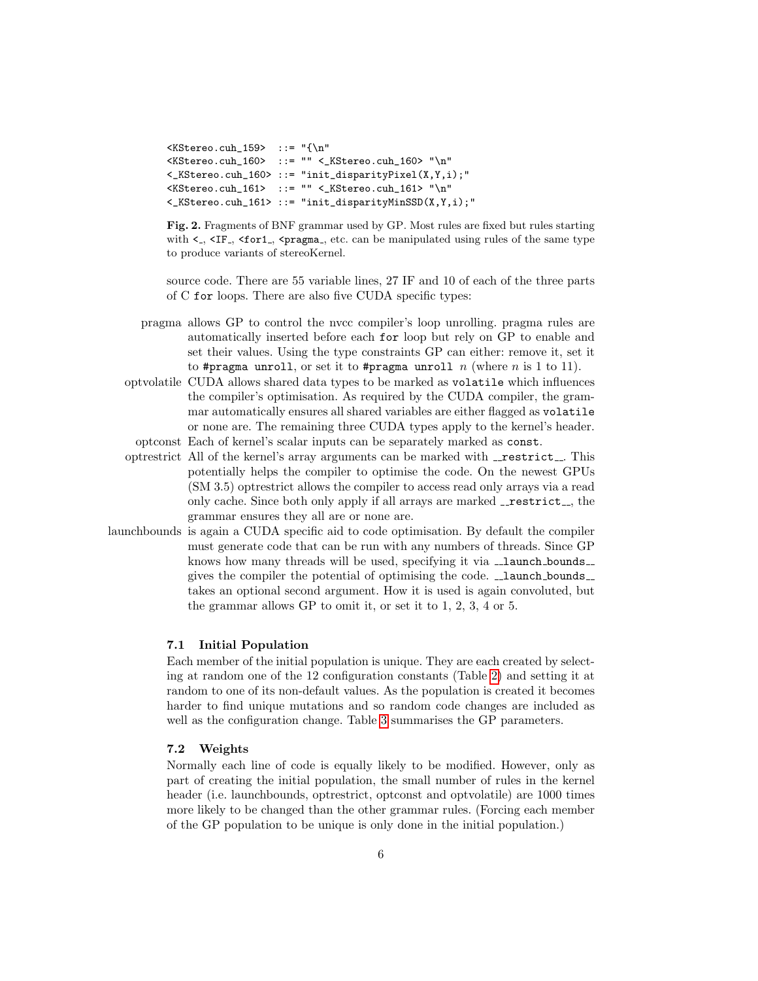```
\overline{\text{KStereo.cuh_159>}} ::= "{\n"
\langle K\text{Stereo.cuh_160}\rangle ::= "" \langle K\text{Stereo.cuh_160}\rangle "\n"
<_KStereo.cuh_160> ::= "init_disparityPixel(X,Y,i);"
\langleKStereo.cuh_161> ::= "" \langle_KStereo.cuh_161> "\n"
<_KStereo.cuh_161> ::= "init_disparityMinSSD(X,Y,i);"
```
<span id="page-5-0"></span>Fig. 2. Fragments of BNF grammar used by GP. Most rules are fixed but rules starting with  $\lt$ ,  $\lt$ IF<sub>-</sub>,  $\lt$ for1<sub>-</sub>,  $\lt$ pragma<sub>-</sub>, etc. can be manipulated using rules of the same type to produce variants of stereoKernel.

source code. There are 55 variable lines, 27 IF and 10 of each of the three parts of C for loops. There are also five CUDA specific types:

- pragma allows GP to control the nvcc compiler's loop unrolling. pragma rules are automatically inserted before each for loop but rely on GP to enable and set their values. Using the type constraints GP can either: remove it, set it to #pragma unroll, or set it to #pragma unroll  $n$  (where  $n$  is 1 to 11).
- optvolatile CUDA allows shared data types to be marked as volatile which influences the compiler's optimisation. As required by the CUDA compiler, the grammar automatically ensures all shared variables are either flagged as volatile or none are. The remaining three CUDA types apply to the kernel's header. optconst Each of kernel's scalar inputs can be separately marked as const.
- optrestrict All of the kernel's array arguments can be marked with \_restrict\_. This potentially helps the compiler to optimise the code. On the newest GPUs (SM 3.5) optrestrict allows the compiler to access read only arrays via a read only cache. Since both only apply if all arrays are marked **\_restrict** \_\_, the grammar ensures they all are or none are.
- launchbounds is again a CUDA specific aid to code optimisation. By default the compiler must generate code that can be run with any numbers of threads. Since GP knows how many threads will be used, specifying it via  $\Box$ launch bounds $\Box$ gives the compiler the potential of optimising the code.  $\Box$  launch bounds takes an optional second argument. How it is used is again convoluted, but the grammar allows GP to omit it, or set it to 1, 2, 3, 4 or 5.

#### 7.1 Initial Population

Each member of the initial population is unique. They are each created by selecting at random one of the 12 configuration constants (Table [2\)](#page-4-0) and setting it at random to one of its non-default values. As the population is created it becomes harder to find unique mutations and so random code changes are included as well as the configuration change. Table [3](#page-7-2) summarises the GP parameters.

#### 7.2 Weights

Normally each line of code is equally likely to be modified. However, only as part of creating the initial population, the small number of rules in the kernel header (i.e. launchbounds, optrestrict, optconst and optvolatile) are 1000 times more likely to be changed than the other grammar rules. (Forcing each member of the GP population to be unique is only done in the initial population.)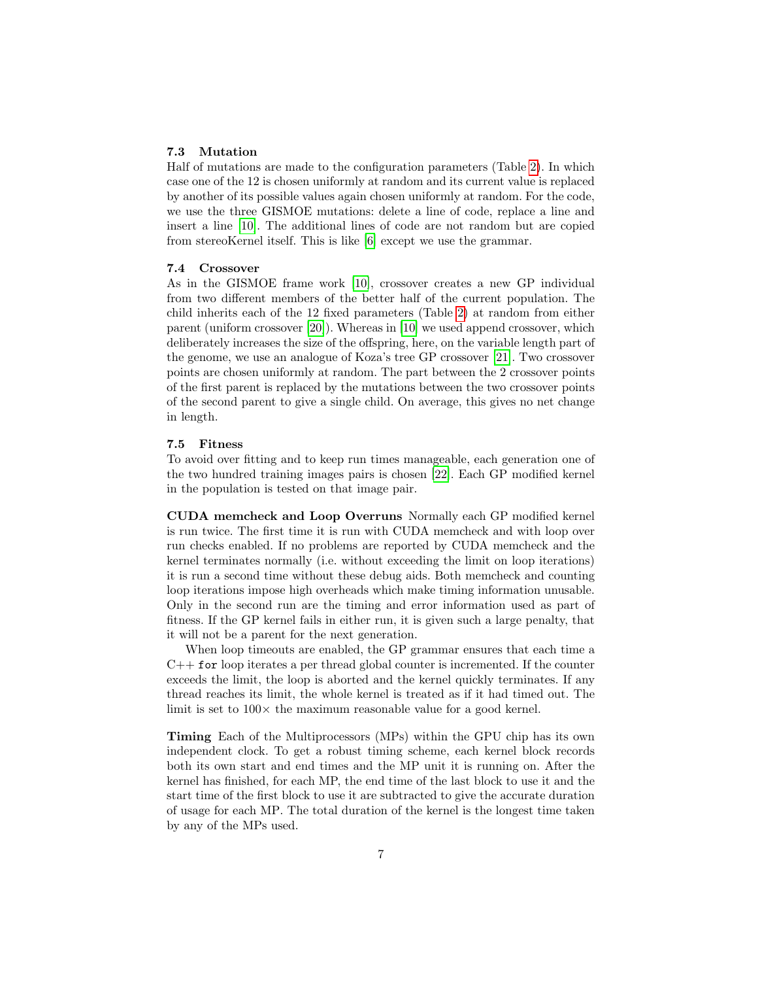#### <span id="page-6-0"></span>7.3 Mutation

Half of mutations are made to the configuration parameters (Table [2\)](#page-4-0). In which case one of the 12 is chosen uniformly at random and its current value is replaced by another of its possible values again chosen uniformly at random. For the code, we use the three GISMOE mutations: delete a line of code, replace a line and insert a line [\[10\]](#page-11-9). The additional lines of code are not random but are copied from stereoKernel itself. This is like [\[6\]](#page-11-5) except we use the grammar.

#### <span id="page-6-1"></span>7.4 Crossover

As in the GISMOE frame work [\[10\]](#page-11-9), crossover creates a new GP individual from two different members of the better half of the current population. The child inherits each of the 12 fixed parameters (Table [2\)](#page-4-0) at random from either parent (uniform crossover [\[20\]](#page-11-19)). Whereas in [\[10\]](#page-11-9) we used append crossover, which deliberately increases the size of the offspring, here, on the variable length part of the genome, we use an analogue of Koza's tree GP crossover [\[21\]](#page-11-20). Two crossover points are chosen uniformly at random. The part between the 2 crossover points of the first parent is replaced by the mutations between the two crossover points of the second parent to give a single child. On average, this gives no net change in length.

#### 7.5 Fitness

To avoid over fitting and to keep run times manageable, each generation one of the two hundred training images pairs is chosen [\[22\]](#page-11-21). Each GP modified kernel in the population is tested on that image pair.

<span id="page-6-2"></span>CUDA memcheck and Loop Overruns Normally each GP modified kernel is run twice. The first time it is run with CUDA memcheck and with loop over run checks enabled. If no problems are reported by CUDA memcheck and the kernel terminates normally (i.e. without exceeding the limit on loop iterations) it is run a second time without these debug aids. Both memcheck and counting loop iterations impose high overheads which make timing information unusable. Only in the second run are the timing and error information used as part of fitness. If the GP kernel fails in either run, it is given such a large penalty, that it will not be a parent for the next generation.

When loop timeouts are enabled, the GP grammar ensures that each time a  $C++$  for loop iterates a per thread global counter is incremented. If the counter exceeds the limit, the loop is aborted and the kernel quickly terminates. If any thread reaches its limit, the whole kernel is treated as if it had timed out. The limit is set to  $100 \times$  the maximum reasonable value for a good kernel.

Timing Each of the Multiprocessors (MPs) within the GPU chip has its own independent clock. To get a robust timing scheme, each kernel block records both its own start and end times and the MP unit it is running on. After the kernel has finished, for each MP, the end time of the last block to use it and the start time of the first block to use it are subtracted to give the accurate duration of usage for each MP. The total duration of the kernel is the longest time taken by any of the MPs used.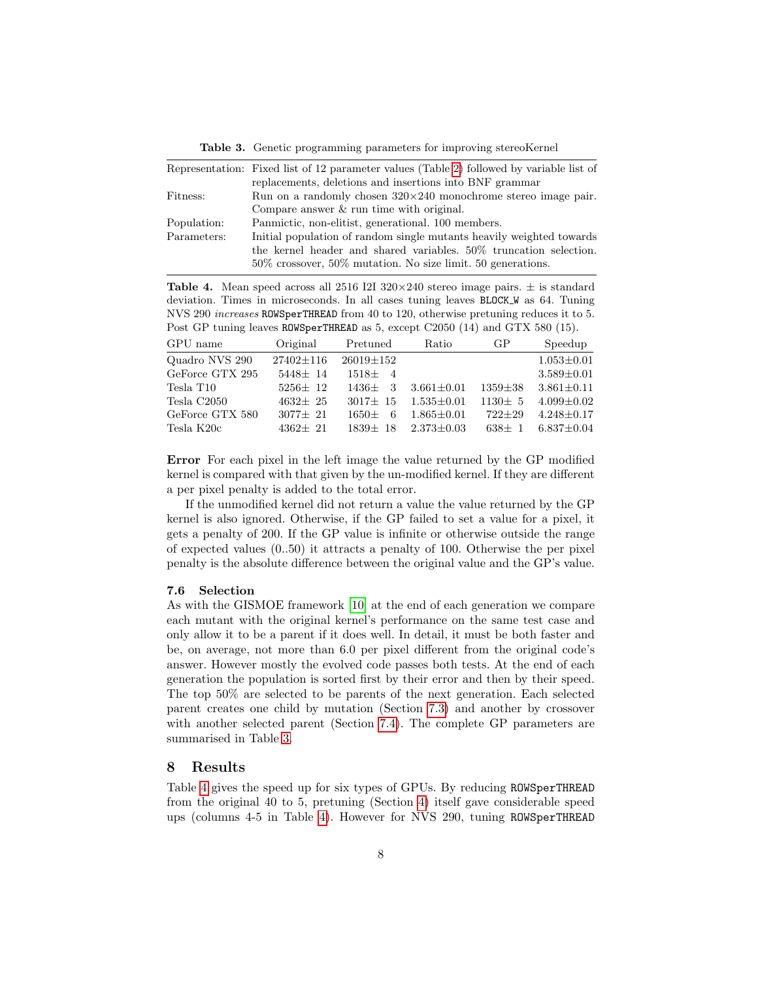<span id="page-7-2"></span>Table 3. Genetic programming parameters for improving stereoKernel

|             | Representation: Fixed list of 12 parameter values (Table 2) followed by variable list of |
|-------------|------------------------------------------------------------------------------------------|
|             | replacements, deletions and insertions into BNF grammar                                  |
| Fitness:    | Run on a randomly chosen $320 \times 240$ monochrome stereo image pair.                  |
|             | Compare answer $\&$ run time with original.                                              |
| Population: | Panmictic, non-elitist, generational. 100 members.                                       |
| Parameters: | Initial population of random single mutants heavily weighted towards                     |
|             | the kernel header and shared variables. 50% truncation selection.                        |
|             | $50\%$ crossover, $50\%$ mutation. No size limit. 50 generations.                        |
|             |                                                                                          |

<span id="page-7-0"></span>**Table 4.** Mean speed across all 2516 I2I 320 $\times$ 240 stereo image pairs.  $\pm$  is standard deviation. Times in microseconds. In all cases tuning leaves BLOCK W as 64. Tuning NVS 290 increases ROWSperTHREAD from 40 to 120, otherwise pretuning reduces it to 5. Post GP tuning leaves ROWSperTHREAD as 5, except C2050 (14) and GTX 580 (15).

| GPU name              | Original        | Pretuned        | Ratio            | GP            | Speedup          |
|-----------------------|-----------------|-----------------|------------------|---------------|------------------|
| Quadro NVS 290        | $27402 \pm 116$ | $26019 \pm 152$ |                  |               | $1.053 \pm 0.01$ |
| GeForce GTX 295       | $5448 + 14$     | $1518 + 4$      |                  |               | $3.589 \pm 0.01$ |
| Tesla T <sub>10</sub> | $5256+12$       | $1436 + 3$      | $3.661 + 0.01$   | $1359 \pm 38$ | $3.861 \pm 0.11$ |
| Tesla C2050           | $4632 + 25$     | $3017 + 15$     | $1.535 + 0.01$   | $1130 \pm 5$  | $4.099 \pm 0.02$ |
| GeForce GTX 580       | $3077 + 21$     | 6<br>$1650+$    | $1.865 \pm 0.01$ | $722 + 29$    | $4.248 \pm 0.17$ |
| Tesla K20c            | $4362 + 21$     | $1839 + 18$     | $2.373 + 0.03$   | $638 + 1$     | $6.837 \pm 0.04$ |

Error For each pixel in the left image the value returned by the GP modified kernel is compared with that given by the un-modified kernel. If they are different a per pixel penalty is added to the total error.

If the unmodified kernel did not return a value the value returned by the GP kernel is also ignored. Otherwise, if the GP failed to set a value for a pixel, it gets a penalty of 200. If the GP value is infinite or otherwise outside the range of expected values  $(0.50)$  it attracts a penalty of 100. Otherwise the per pixel penalty is the absolute difference between the original value and the GP's value.

#### 7.6 Selection

As with the GISMOE framework [\[10\]](#page-11-9) at the end of each generation we compare each mutant with the original kernel's performance on the same test case and only allow it to be a parent if it does well. In detail, it must be both faster and be, on average, not more than 6.0 per pixel different from the original code's answer. However mostly the evolved code passes both tests. At the end of each generation the population is sorted first by their error and then by their speed. The top 50% are selected to be parents of the next generation. Each selected parent creates one child by mutation (Section [7.3\)](#page-6-0) and another by crossover with another selected parent (Section [7.4\)](#page-6-1). The complete GP parameters are summarised in Table [3.](#page-7-2)

#### <span id="page-7-1"></span>8 Results

Table [4](#page-7-0) gives the speed up for six types of GPUs. By reducing ROWSperTHREAD from the original 40 to 5, pretuning (Section [4\)](#page-2-0) itself gave considerable speed ups (columns 4-5 in Table [4\)](#page-7-0). However for NVS 290, tuning ROWSperTHREAD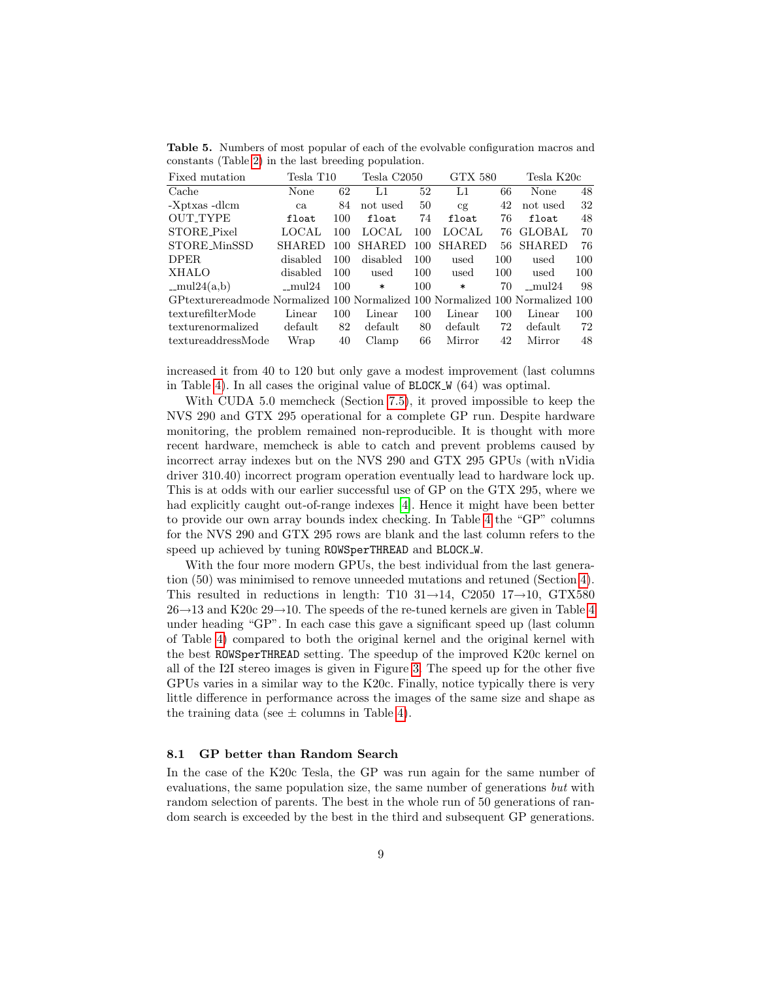Table 5. Numbers of most popular of each of the evolvable configuration macros and constants (Table [2\)](#page-4-0) in the last breeding population.

| Fixed mutation                                                                | Tesla T10 |     | Tesla C2050   |     | <b>GTX 580</b> |     | Tesla K20c    |     |
|-------------------------------------------------------------------------------|-----------|-----|---------------|-----|----------------|-----|---------------|-----|
| Cache                                                                         | None      | 62  | L1            | 52  | L1             | 66  | None          | 48  |
| -Xptxas -dlcm                                                                 | ca        | 84  | not used      | 50  | cg             | 42  | not used      | 32  |
| <b>OUT_TYPE</b>                                                               | float     | 100 | float         | 74  | float          | 76  | float         | 48  |
| STORE_Pixel                                                                   | LOCAL     | 100 | <b>LOCAL</b>  | 100 | LOCAL          | 76  | <b>GLOBAL</b> | 70  |
| STORE_MinSSD                                                                  | SHARED    | 100 | <b>SHARED</b> | 100 | <b>SHARED</b>  | 56  | SHARED        | 76  |
| <b>DPER</b>                                                                   | disabled  | 100 | disabled      | 100 | used           | 100 | used          | 100 |
| <b>XHALO</b>                                                                  | disabled  | 100 | used          | 100 | used           | 100 | used          | 100 |
| $-mul24(a,b)$                                                                 | $-mul24$  | 100 | $\ast$        | 100 | $\ast$         | 70  | $-mul24$      | 98  |
| GPtexturereadmode Normalized 100 Normalized 100 Normalized 100 Normalized 100 |           |     |               |     |                |     |               |     |
| texturefilterMode                                                             | Linear    | 100 | Linear        | 100 | Linear         | 100 | Linear        | 100 |
| texturenormalized                                                             | default   | 82  | default       | 80  | default        | 72  | default       | 72  |
| textureaddressMode                                                            | Wrap      | 40  | Clamp         | 66  | Mirror         | 42  | Mirror        | 48  |

increased it from 40 to 120 but only gave a modest improvement (last columns in Table [4\)](#page-7-0). In all cases the original value of  $BLOCK_W$  (64) was optimal.

With CUDA 5.0 memcheck (Section [7.5\)](#page-6-2), it proved impossible to keep the NVS 290 and GTX 295 operational for a complete GP run. Despite hardware monitoring, the problem remained non-reproducible. It is thought with more recent hardware, memcheck is able to catch and prevent problems caused by incorrect array indexes but on the NVS 290 and GTX 295 GPUs (with nVidia driver 310.40) incorrect program operation eventually lead to hardware lock up. This is at odds with our earlier successful use of GP on the GTX 295, where we had explicitly caught out-of-range indexes [\[4\]](#page-11-3). Hence it might have been better to provide our own array bounds index checking. In Table [4](#page-7-0) the "GP" columns for the NVS 290 and GTX 295 rows are blank and the last column refers to the speed up achieved by tuning ROWSperTHREAD and BLOCK W.

With the four more modern GPUs, the best individual from the last generation (50) was minimised to remove unneeded mutations and retuned (Section [4\)](#page-2-0). This resulted in reductions in length: T10  $31\rightarrow 14$ , C2050  $17\rightarrow 10$ , GTX580  $26 \rightarrow 13$  and K20c  $29 \rightarrow 10$ . The speeds of the re-tuned kernels are given in Table [4](#page-7-0) under heading "GP". In each case this gave a significant speed up (last column of Table [4\)](#page-7-0) compared to both the original kernel and the original kernel with the best ROWSperTHREAD setting. The speedup of the improved K20c kernel on all of the I2I stereo images is given in Figure [3.](#page-9-0) The speed up for the other five GPUs varies in a similar way to the K20c. Finally, notice typically there is very little difference in performance across the images of the same size and shape as the training data (see  $\pm$  columns in Table [4\)](#page-7-0).

#### 8.1 GP better than Random Search

In the case of the K20c Tesla, the GP was run again for the same number of evaluations, the same population size, the same number of generations but with random selection of parents. The best in the whole run of 50 generations of random search is exceeded by the best in the third and subsequent GP generations.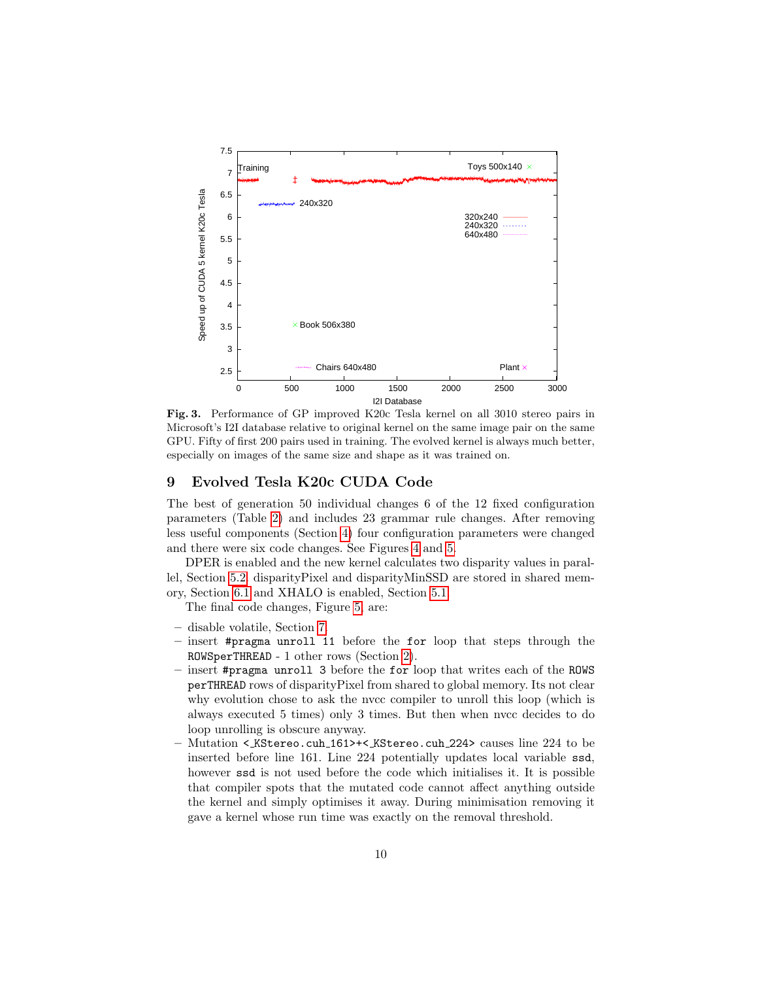

<span id="page-9-0"></span>Fig. 3. Performance of GP improved K20c Tesla kernel on all 3010 stereo pairs in Microsoft's I2I database relative to original kernel on the same image pair on the same GPU. Fifty of first 200 pairs used in training. The evolved kernel is always much better, especially on images of the same size and shape as it was trained on.

## 9 Evolved Tesla K20c CUDA Code

The best of generation 50 individual changes 6 of the 12 fixed configuration parameters (Table [2\)](#page-4-0) and includes 23 grammar rule changes. After removing less useful components (Section [4\)](#page-2-0) four configuration parameters were changed and there were six code changes. See Figures [4](#page-10-0) and [5.](#page-10-1)

DPER is enabled and the new kernel calculates two disparity values in parallel, Section [5.2.](#page-3-0) disparityPixel and disparityMinSSD are stored in shared memory, Section [6.1](#page-4-2) and XHALO is enabled, Section [5.1.](#page-3-1)

The final code changes, Figure [5,](#page-10-1) are:

- disable volatile, Section [7.](#page-4-3)
- insert #pragma unroll 11 before the for loop that steps through the ROWSperTHREAD - 1 other rows (Section [2\)](#page-1-1).
- insert #pragma unroll 3 before the for loop that writes each of the ROWS perTHREAD rows of disparityPixel from shared to global memory. Its not clear why evolution chose to ask the nvcc compiler to unroll this loop (which is always executed 5 times) only 3 times. But then when nvcc decides to do loop unrolling is obscure anyway.
- Mutation < KStereo.cuh 161>+< KStereo.cuh 224> causes line 224 to be inserted before line 161. Line 224 potentially updates local variable ssd, however ssd is not used before the code which initialises it. It is possible that compiler spots that the mutated code cannot affect anything outside the kernel and simply optimises it away. During minimisation removing it gave a kernel whose run time was exactly on the removal threshold.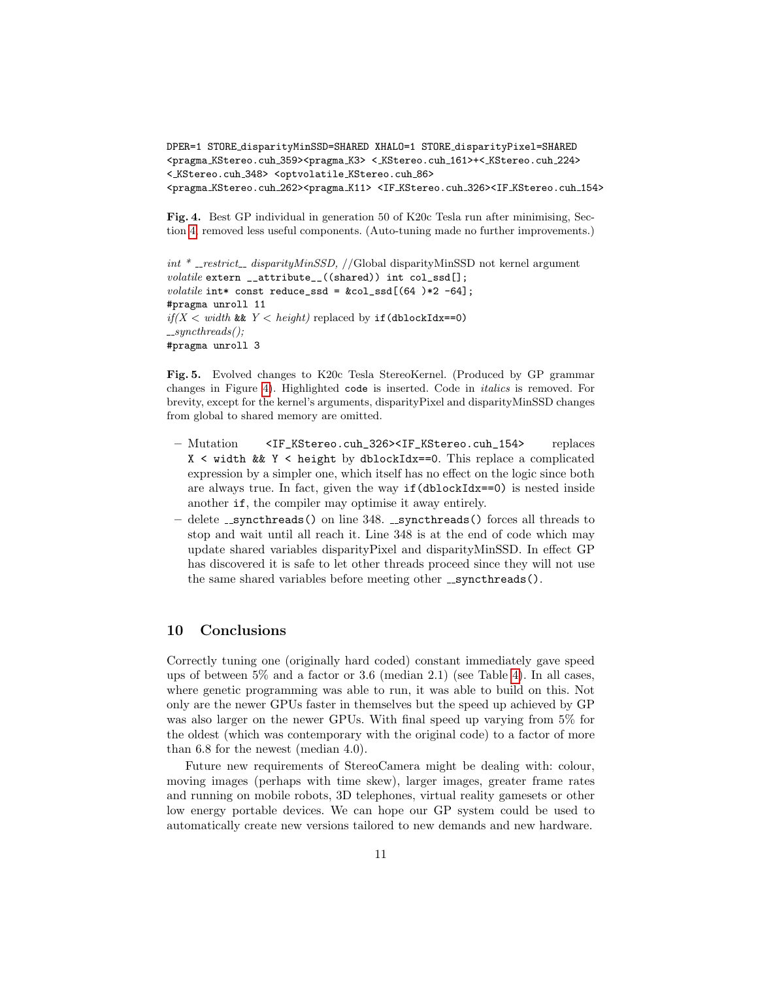```
DPER=1 STORE disparityMinSSD=SHARED XHALO=1 STORE disparityPixel=SHARED
<pragma KStereo.cuh 359><pragma K3> < KStereo.cuh 161>+< KStereo.cuh 224>
< KStereo.cuh 348> <optvolatile KStereo.cuh 86>
<pragma KStereo.cuh 262><pragma K11> <IF KStereo.cuh 326><IF KStereo.cuh 154>
```
<span id="page-10-0"></span>Fig. 4. Best GP individual in generation 50 of K20c Tesla run after minimising, Section [4,](#page-2-0) removed less useful components. (Auto-tuning made no further improvements.)

```
int * _restrict_ disparityMinSSD, //Global disparityMinSSD not kernel argument
volatile extern __attribute__((shared)) int col_ssd[];
volatile int* const reduce_ssd = kcol\_ssd[(64) *2 -64];
#pragma unroll 11
if(X < width \& Y < height) \text{ replaced by if (dblockIdx == 0)}\textcolor{red}{\text{--}syncthreads}(#pragma unroll 3
```
<span id="page-10-1"></span>Fig. 5. Evolved changes to K20c Tesla StereoKernel. (Produced by GP grammar changes in Figure [4\)](#page-10-0). Highlighted code is inserted. Code in italics is removed. For brevity, except for the kernel's arguments, disparityPixel and disparityMinSSD changes from global to shared memory are omitted.

- Mutation <IF\_KStereo.cuh\_326><IF\_KStereo.cuh\_154> replaces  $X \leq$  width && Y  $\leq$  height by dblockIdx==0. This replace a complicated expression by a simpler one, which itself has no effect on the logic since both are always true. In fact, given the way  $if(dblockIdx==0)$  is nested inside another if, the compiler may optimise it away entirely.
- $-$  delete  $\sqrt{2}$  syncthreads() on line 348.  $\sqrt{2}$  syncthreads() forces all threads to stop and wait until all reach it. Line 348 is at the end of code which may update shared variables disparityPixel and disparityMinSSD. In effect GP has discovered it is safe to let other threads proceed since they will not use the same shared variables before meeting other \_syncthreads().

## 10 Conclusions

Correctly tuning one (originally hard coded) constant immediately gave speed ups of between 5% and a factor or 3.6 (median 2.1) (see Table [4\)](#page-7-0). In all cases, where genetic programming was able to run, it was able to build on this. Not only are the newer GPUs faster in themselves but the speed up achieved by GP was also larger on the newer GPUs. With final speed up varying from 5% for the oldest (which was contemporary with the original code) to a factor of more than 6.8 for the newest (median 4.0).

Future new requirements of StereoCamera might be dealing with: colour, moving images (perhaps with time skew), larger images, greater frame rates and running on mobile robots, 3D telephones, virtual reality gamesets or other low energy portable devices. We can hope our GP system could be used to automatically create new versions tailored to new demands and new hardware.